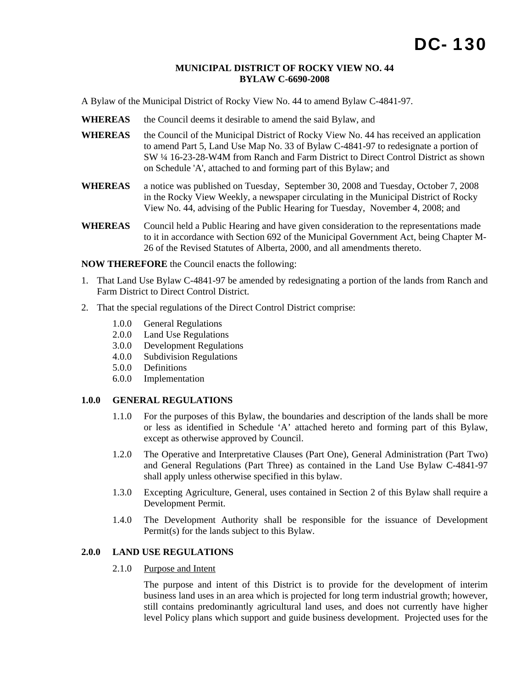#### **MUNICIPAL DISTRICT OF ROCKY VIEW NO. 44 BYLAW C-6690-2008**

A Bylaw of the Municipal District of Rocky View No. 44 to amend Bylaw C-4841-97.

- **WHEREAS** the Council deems it desirable to amend the said Bylaw, and
- WHEREAS the Council of the Municipal District of Rocky View No. 44 has received an application to amend Part 5, Land Use Map No. 33 of Bylaw C-4841-97 to redesignate a portion of SW ¼ 16-23-28-W4M from Ranch and Farm District to Direct Control District as shown on Schedule 'A', attached to and forming part of this Bylaw; and
- **WHEREAS** a notice was published on Tuesday, September 30, 2008 and Tuesday, October 7, 2008 in the Rocky View Weekly, a newspaper circulating in the Municipal District of Rocky View No. 44, advising of the Public Hearing for Tuesday, November 4, 2008; and
- **WHEREAS** Council held a Public Hearing and have given consideration to the representations made to it in accordance with Section 692 of the Municipal Government Act, being Chapter M-26 of the Revised Statutes of Alberta, 2000, and all amendments thereto.

**NOW THEREFORE** the Council enacts the following:

- 1. That Land Use Bylaw C-4841-97 be amended by redesignating a portion of the lands from Ranch and Farm District to Direct Control District.
- 2. That the special regulations of the Direct Control District comprise:
	- 1.0.0 General Regulations
	- 2.0.0 Land Use Regulations
	- 3.0.0 Development Regulations
	- 4.0.0 Subdivision Regulations
	- 5.0.0 Definitions
	- 6.0.0 Implementation

### **1.0.0 GENERAL REGULATIONS**

- 1.1.0 For the purposes of this Bylaw, the boundaries and description of the lands shall be more or less as identified in Schedule 'A' attached hereto and forming part of this Bylaw, except as otherwise approved by Council.
- 1.2.0 The Operative and Interpretative Clauses (Part One), General Administration (Part Two) and General Regulations (Part Three) as contained in the Land Use Bylaw C-4841-97 shall apply unless otherwise specified in this bylaw.
- 1.3.0 Excepting Agriculture, General, uses contained in Section 2 of this Bylaw shall require a Development Permit.
- 1.4.0 The Development Authority shall be responsible for the issuance of Development Permit(s) for the lands subject to this Bylaw.

## **2.0.0 LAND USE REGULATIONS**

# 2.1.0 Purpose and Intent

The purpose and intent of this District is to provide for the development of interim business land uses in an area which is projected for long term industrial growth; however, still contains predominantly agricultural land uses, and does not currently have higher level Policy plans which support and guide business development. Projected uses for the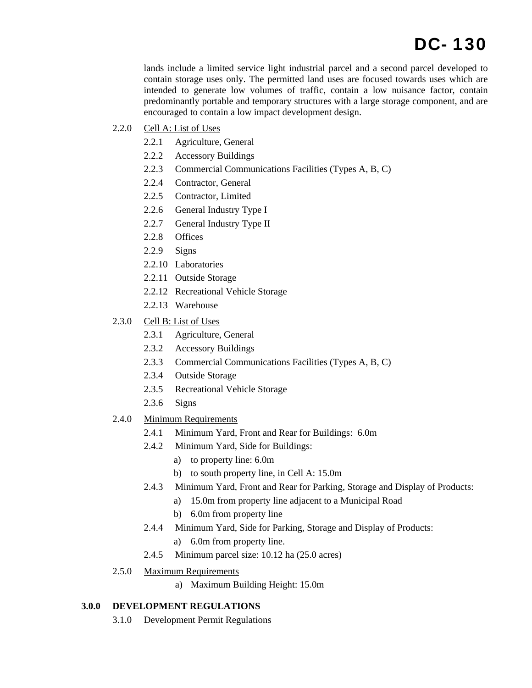# DC- 130

lands include a limited service light industrial parcel and a second parcel developed to contain storage uses only. The permitted land uses are focused towards uses which are intended to generate low volumes of traffic, contain a low nuisance factor, contain predominantly portable and temporary structures with a large storage component, and are encouraged to contain a low impact development design.

- 2.2.0 Cell A: List of Uses
	- 2.2.1 Agriculture, General
	- 2.2.2 Accessory Buildings
	- 2.2.3 Commercial Communications Facilities (Types A, B, C)
	- 2.2.4 Contractor, General
	- 2.2.5 Contractor, Limited
	- 2.2.6 General Industry Type I
	- 2.2.7 General Industry Type II
	- 2.2.8 Offices
	- 2.2.9 Signs
	- 2.2.10 Laboratories
	- 2.2.11 Outside Storage
	- 2.2.12 Recreational Vehicle Storage
	- 2.2.13 Warehouse
- 2.3.0 Cell B: List of Uses
	- 2.3.1 Agriculture, General
	- 2.3.2 Accessory Buildings
	- 2.3.3 Commercial Communications Facilities (Types A, B, C)
	- 2.3.4 Outside Storage
	- 2.3.5 Recreational Vehicle Storage
	- 2.3.6 Signs
- 2.4.0 Minimum Requirements
	- 2.4.1 Minimum Yard, Front and Rear for Buildings: 6.0m
	- 2.4.2 Minimum Yard, Side for Buildings:
		- a) to property line: 6.0m
		- b) to south property line, in Cell A: 15.0m
	- 2.4.3 Minimum Yard, Front and Rear for Parking, Storage and Display of Products:
		- a) 15.0m from property line adjacent to a Municipal Road
		- b) 6.0m from property line
	- 2.4.4 Minimum Yard, Side for Parking, Storage and Display of Products:
		- a) 6.0m from property line.
	- 2.4.5 Minimum parcel size: 10.12 ha (25.0 acres)
- 2.5.0 Maximum Requirements
	- a) Maximum Building Height: 15.0m

## **3.0.0 DEVELOPMENT REGULATIONS**

3.1.0 Development Permit Regulations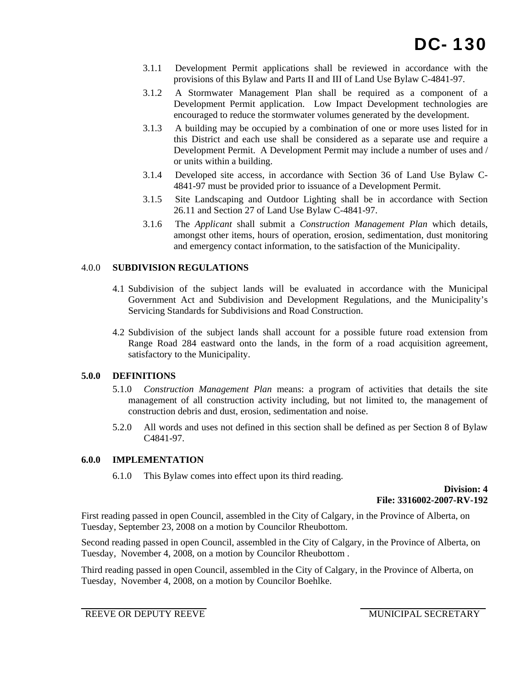- 3.1.1 Development Permit applications shall be reviewed in accordance with the provisions of this Bylaw and Parts II and III of Land Use Bylaw C-4841-97.
- 3.1.2 A Stormwater Management Plan shall be required as a component of a Development Permit application. Low Impact Development technologies are encouraged to reduce the stormwater volumes generated by the development.
- 3.1.3 A building may be occupied by a combination of one or more uses listed for in this District and each use shall be considered as a separate use and require a Development Permit. A Development Permit may include a number of uses and / or units within a building.
- 3.1.4 Developed site access, in accordance with Section 36 of Land Use Bylaw C-4841-97 must be provided prior to issuance of a Development Permit.
- 3.1.5 Site Landscaping and Outdoor Lighting shall be in accordance with Section 26.11 and Section 27 of Land Use Bylaw C-4841-97.
- 3.1.6 The *Applicant* shall submit a *Construction Management Plan* which details, amongst other items, hours of operation, erosion, sedimentation, dust monitoring and emergency contact information, to the satisfaction of the Municipality.

# 4.0.0 **SUBDIVISION REGULATIONS**

- 4.1 Subdivision of the subject lands will be evaluated in accordance with the Municipal Government Act and Subdivision and Development Regulations, and the Municipality's Servicing Standards for Subdivisions and Road Construction.
- 4.2 Subdivision of the subject lands shall account for a possible future road extension from Range Road 284 eastward onto the lands, in the form of a road acquisition agreement, satisfactory to the Municipality.

# **5.0.0 DEFINITIONS**

- 5.1.0 *Construction Management Plan* means: a program of activities that details the site management of all construction activity including, but not limited to, the management of construction debris and dust, erosion, sedimentation and noise.
- 5.2.0 All words and uses not defined in this section shall be defined as per Section 8 of Bylaw C4841-97.

# **6.0.0 IMPLEMENTATION**

6.1.0 This Bylaw comes into effect upon its third reading.

**Division: 4 File: 3316002-2007-RV-192** 

First reading passed in open Council, assembled in the City of Calgary, in the Province of Alberta, on Tuesday, September 23, 2008 on a motion by Councilor Rheubottom.

Second reading passed in open Council, assembled in the City of Calgary, in the Province of Alberta, on Tuesday, November 4, 2008, on a motion by Councilor Rheubottom .

Third reading passed in open Council, assembled in the City of Calgary, in the Province of Alberta, on Tuesday, November 4, 2008, on a motion by Councilor Boehlke.

REEVE OR DEPUTY REEVE MUNICIPAL SECRETARY